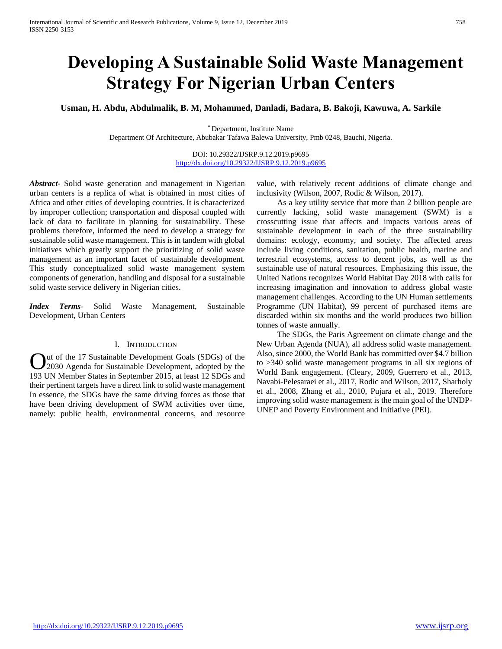# **Developing A Sustainable Solid Waste Management Strategy For Nigerian Urban Centers**

**Usman, H. Abdu, Abdulmalik, B. M, Mohammed, Danladi, Badara, B. Bakoji, Kawuwa, A. Sarkile** 

\* Department, Institute Name Department Of Architecture, Abubakar Tafawa Balewa University, Pmb 0248, Bauchi, Nigeria.

> DOI: 10.29322/IJSRP.9.12.2019.p9695 <http://dx.doi.org/10.29322/IJSRP.9.12.2019.p9695>

*Abstract***-** Solid waste generation and management in Nigerian urban centers is a replica of what is obtained in most cities of Africa and other cities of developing countries. It is characterized by improper collection; transportation and disposal coupled with lack of data to facilitate in planning for sustainability. These problems therefore, informed the need to develop a strategy for sustainable solid waste management. This is in tandem with global initiatives which greatly support the prioritizing of solid waste management as an important facet of sustainable development. This study conceptualized solid waste management system components of generation, handling and disposal for a sustainable solid waste service delivery in Nigerian cities.

*Index Terms*- Solid Waste Management, Sustainable Development, Urban Centers

# I. INTRODUCTION

ut of the 17 Sustainable Development Goals (SDGs) of the Out of the 17 Sustainable Development Goals (SDGs) of the 2030 Agenda for Sustainable Development, adopted by the 193 UN Member States in September 2015, at least 12 SDGs and their pertinent targets have a direct link to solid waste management In essence, the SDGs have the same driving forces as those that have been driving development of SWM activities over time, namely: public health, environmental concerns, and resource

value, with relatively recent additions of climate change and inclusivity (Wilson, 2007, Rodic & Wilson, 2017).

 As a key utility service that more than 2 billion people are currently lacking, solid waste management (SWM) is a crosscutting issue that affects and impacts various areas of sustainable development in each of the three sustainability domains: ecology, economy, and society. The affected areas include living conditions, sanitation, public health, marine and terrestrial ecosystems, access to decent jobs, as well as the sustainable use of natural resources. Emphasizing this issue, the United Nations recognizes World Habitat Day 2018 with calls for increasing imagination and innovation to address global waste management challenges. According to the UN Human settlements Programme (UN Habitat), 99 percent of purchased items are discarded within six months and the world produces two billion tonnes of waste annually.

 The SDGs, the Paris Agreement on climate change and the New Urban Agenda (NUA), all address solid waste management. Also, since 2000, the World Bank has committed over \$4.7 billion to >340 solid waste management programs in all six regions of World Bank engagement. (Cleary, 2009, Guerrero et al., 2013, Navabi-Pelesaraei et al., 2017, Rodic and Wilson, 2017, Sharholy et al., 2008, Zhang et al., 2010, Pujara et al., 2019. Therefore improving solid waste management is the main goal of the UNDP-UNEP and Poverty Environment and Initiative (PEI).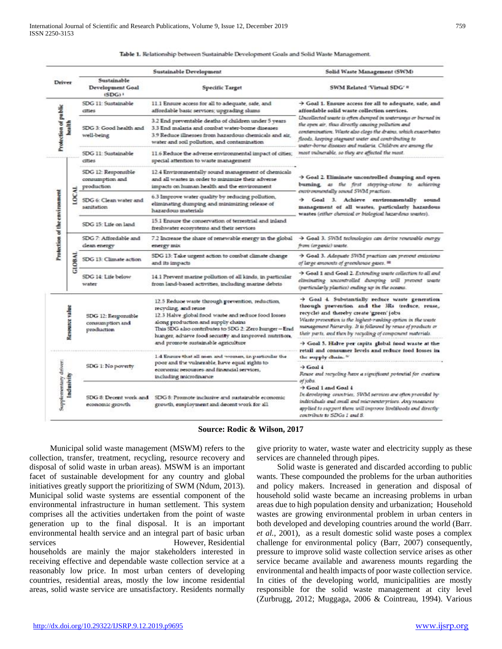|                                                                                                                       |              |                                                         | Sustainable Development                                                                                                                                                                                                                                                               | Solid Waste Management (SWM)                                                                                                                                                                                                                                                                                                                                                                                                                                                                                               |
|-----------------------------------------------------------------------------------------------------------------------|--------------|---------------------------------------------------------|---------------------------------------------------------------------------------------------------------------------------------------------------------------------------------------------------------------------------------------------------------------------------------------|----------------------------------------------------------------------------------------------------------------------------------------------------------------------------------------------------------------------------------------------------------------------------------------------------------------------------------------------------------------------------------------------------------------------------------------------------------------------------------------------------------------------------|
|                                                                                                                       |              | Sustainable<br>Development Goal<br>$(SDG)$ <sup>1</sup> | <b>Specific Target</b>                                                                                                                                                                                                                                                                | SWM Related 'Virtual SDG' #                                                                                                                                                                                                                                                                                                                                                                                                                                                                                                |
|                                                                                                                       |              | SDG 11: Sustainable<br>dties                            | 11.1 Ensure access for all to adequate, safe, and<br>affordable basic services; upgrading slums                                                                                                                                                                                       | > Goal 1. Ensure access for all to adequate, safe, and<br>affordable solid waste collection services.<br>Uncollected waste is often durayed in waterways or burned in<br>the open air, thus directly causing pollution and<br>contamination. Waste also clogs the drains, which exacerbates<br>floods, keeping stagnant unter and contributing to<br>unter-borne diseases and maleria. Children are among the<br>most vulnerable, so they are affected the most.                                                           |
| Driver<br><b>Protection of public</b><br>health<br>⋜<br>Protection of the environment<br>Resource value<br>Indusivity |              | SDG 3: Good health and<br>well-being                    | 3.2 End preventable deaths of children under 5 years<br>3.3 End malaria and combat water-borne diseases<br>3.9 Reduce illnesses from hazardous chemicals and air.<br>water and soil pollution, and contamination                                                                      |                                                                                                                                                                                                                                                                                                                                                                                                                                                                                                                            |
|                                                                                                                       |              | SDG 11: Sustainable<br>cities                           | 11.6 Reduce the adverse environmental impact of cities;<br>special attention to waste management                                                                                                                                                                                      |                                                                                                                                                                                                                                                                                                                                                                                                                                                                                                                            |
|                                                                                                                       |              | SDG 12: Responsible<br>consumption and<br>production    | 12.4 Environmentally sound management of chemicals<br>and all wastes in order to minimize their adverse<br>impacts on human health and the environment                                                                                                                                | > Goal 2. Eliminate uncontrolled dumping and open<br>burning, as the first stepping-stone to achieving<br>environmentally sound SWM practices.<br>Goal 3. Achieve environmentally sound<br>management of all wastes, particularly hazardous<br>wastes (either chemical or biological hazardous wastes).                                                                                                                                                                                                                    |
|                                                                                                                       | roc          | SDG 6: Clean water and<br>samitation                    | 6.3 Improve water quality by reducing pollution,<br>eliminating dumping and minimizing release of<br>hazardous materials                                                                                                                                                              |                                                                                                                                                                                                                                                                                                                                                                                                                                                                                                                            |
|                                                                                                                       |              | SDG 15: Life on land                                    | 15.1 Ensure the conservation of terrestrial and inland<br>freshwater ecosystems and their services                                                                                                                                                                                    |                                                                                                                                                                                                                                                                                                                                                                                                                                                                                                                            |
|                                                                                                                       | <b>GLOBA</b> | SDG 7: Affordable and<br>clean energy                   | 7.2 Increase the share of renewable energy in the global<br>energy mix                                                                                                                                                                                                                | $\rightarrow$ Goal 3. SWM technologies can derive renewable energy<br>from (organic) unaste.                                                                                                                                                                                                                                                                                                                                                                                                                               |
|                                                                                                                       |              | SDG 13: Climate action                                  | SDG 13: Take urgent action to combat climate change<br>and its impacts                                                                                                                                                                                                                | > Goal 3. Adequate SWM practices can prevent emissions<br>of large amounts of greenhouse gases. III                                                                                                                                                                                                                                                                                                                                                                                                                        |
|                                                                                                                       |              | SDG 14: Life below<br>water                             | 14.1 Prevent marine pollution of all kinds, in particular<br>from land-based activities, including marine debris                                                                                                                                                                      | > Goal 1 and Goal 2. Extending waste collection to all and<br>eliminating uncontrolled dumping will prevent waste<br>(particularly plastics) ending up in the oceans.                                                                                                                                                                                                                                                                                                                                                      |
|                                                                                                                       |              | SDG 12: Responsible<br>consumption and<br>production    | 12.5 Reduce waste through prevention, reduction,<br>recycling, and reuse<br>12.3 Halve global food waste and reduce food losses<br>along production and supply chains<br>Thus SDG also contributes to SDG 2: Zero hunger-End<br>hunger, adnieve food security and improved nutrition, | $\rightarrow$ Goal 4. Substantially reduce waste generation<br>through prevention and the 3Rs (reduce, reuse,<br>recycle) and thereby create 'green' jobs<br>Waste prevention is the highest-ranking option in the waste<br>management Paerarcky. It is followed by renoe of products or<br>their parts, and then by recycling of component materials.<br>Soal 5. Halve per capita global food waste at the<br>the supply chain. "<br>$\rightarrow$ Goal 4<br>of jobs.<br>Soal 1 and Goal 4<br>contribute to SDGs 1 and 8. |
|                                                                                                                       |              |                                                         | and promote sustainable agriculture<br>1.4 Ensure that all men and women, in particular the                                                                                                                                                                                           | retail and consumer levels and reduce food losses in<br>Reuse and recycling have a significant potential for creation<br>In developing-countries, SWM services are often provided by-<br>individuals and small and microenterprises. Any measures<br>applied to support them will improve livelihoods and directly-                                                                                                                                                                                                        |
|                                                                                                                       |              | SDG 1: No ploverty                                      | poor and the vulnezable, have equal zights to<br>economic resources and financial services,<br>including microfinance                                                                                                                                                                 |                                                                                                                                                                                                                                                                                                                                                                                                                                                                                                                            |
| Supplementary driver:                                                                                                 |              | SDG 8: Decent work and<br>economic growth.              | SDG 8: Promote inclusive and sustainable economic<br>growth, employment and decent work for all                                                                                                                                                                                       |                                                                                                                                                                                                                                                                                                                                                                                                                                                                                                                            |

Table 1. Relationship between Sustainable Development Goals and Solid Waste Management.

**Source: Rodic & Wilson, 2017**

 Municipal solid waste management (MSWM) refers to the collection, transfer, treatment, recycling, resource recovery and disposal of solid waste in urban areas). MSWM is an important facet of sustainable development for any country and global initiatives greatly support the prioritizing of SWM (Ndum, 2013). Municipal solid waste systems are essential component of the environmental infrastructure in human settlement. This system comprises all the activities undertaken from the point of waste generation up to the final disposal. It is an important environmental health service and an integral part of basic urban services However, Residential households are mainly the major stakeholders interested in receiving effective and dependable waste collection service at a reasonably low price. In most urban centers of developing

countries, residential areas, mostly the low income residential areas, solid waste service are unsatisfactory. Residents normally give priority to water, waste water and electricity supply as these services are channeled through pipes.

 Solid waste is generated and discarded according to public wants. These compounded the problems for the urban authorities and policy makers. Increased in generation and disposal of household solid waste became an increasing problems in urban areas due to high population density and urbanization; Household wastes are growing environmental problem in urban centers in both developed and developing countries around the world (Barr. *et al.*, 2001), as a result domestic solid waste poses a complex challenge for environmental policy (Barr, 2007) consequently, pressure to improve solid waste collection service arises as other service became available and awareness mounts regarding the environmental and health impacts of poor waste collection service. In cities of the developing world, municipalities are mostly responsible for the solid waste management at city level (Zurbrugg, 2012; Muggaga, 2006 & Cointreau, 1994). Various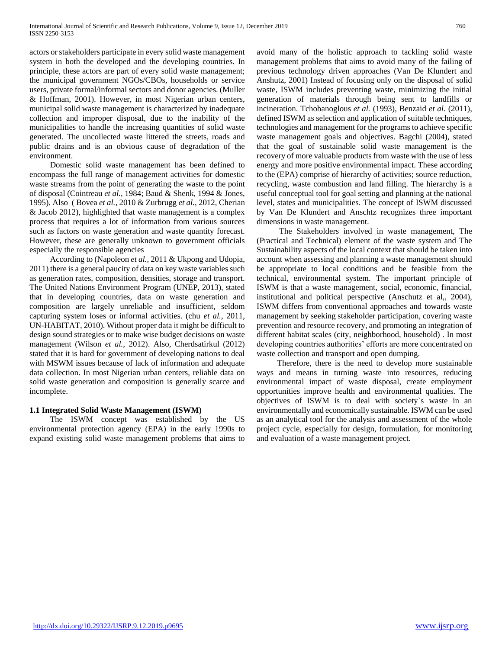actors or stakeholders participate in every solid waste management system in both the developed and the developing countries. In principle, these actors are part of every solid waste management; the municipal government NGOs/CBOs, households or service users, private formal/informal sectors and donor agencies. (Muller & Hoffman, 2001). However, in most Nigerian urban centers, municipal solid waste management is characterized by inadequate collection and improper disposal, due to the inability of the municipalities to handle the increasing quantities of solid waste generated. The uncollected waste littered the streets, roads and public drains and is an obvious cause of degradation of the environment.

 Domestic solid waste management has been defined to encompass the full range of management activities for domestic waste streams from the point of generating the waste to the point of disposal (Cointreau *et al.,* 1984; Baud & Shenk, 1994 & Jones, 1995). Also ( Bovea *et al.,* 2010 & Zurbrugg *et al.,* 2012, Cherian & Jacob 2012), highlighted that waste management is a complex process that requires a lot of information from various sources such as factors on waste generation and waste quantity forecast. However, these are generally unknown to government officials especially the responsible agencies

 According to (Napoleon *et al.,* 2011 & Ukpong and Udopia, 2011) there is a general paucity of data on key waste variables such as generation rates, composition, densities, storage and transport. The United Nations Environment Program (UNEP, 2013), stated that in developing countries, data on waste generation and composition are largely unreliable and insufficient, seldom capturing system loses or informal activities. (chu *et al.,* 2011, UN-HABITAT, 2010). Without proper data it might be difficult to design sound strategies or to make wise budget decisions on waste management (Wilson *et al.,* 2012). Also, Cherdsatirkul (2012) stated that it is hard for government of developing nations to deal with MSWM issues because of lack of information and adequate data collection. In most Nigerian urban centers, reliable data on solid waste generation and composition is generally scarce and incomplete.

## **1.1 Integrated Solid Waste Management (ISWM)**

 The ISWM concept was established by the US environmental protection agency (EPA) in the early 1990s to expand existing solid waste management problems that aims to avoid many of the holistic approach to tackling solid waste management problems that aims to avoid many of the failing of previous technology driven approaches (Van De Klundert and Anshutz, 2001) Instead of focusing only on the disposal of solid waste, ISWM includes preventing waste, minimizing the initial generation of materials through being sent to landfills or incineration. Tchobanoglous *et al.* (1993), Benzaid *et al.* (2011), defined ISWM as selection and application of suitable techniques, technologies and management for the programs to achieve specific waste management goals and objectives. Bagchi (2004), stated that the goal of sustainable solid waste management is the recovery of more valuable products from waste with the use of less energy and more positive environmental impact. These according to the (EPA) comprise of hierarchy of activities; source reduction, recycling, waste combustion and land filling. The hierarchy is a useful conceptual tool for goal setting and planning at the national level, states and municipalities. The concept of ISWM discussed by Van De Klundert and Anschtz recognizes three important dimensions in waste management.

 The Stakeholders involved in waste management, The (Practical and Technical) element of the waste system and The Sustainability aspects of the local context that should be taken into account when assessing and planning a waste management should be appropriate to local conditions and be feasible from the technical, environmental system. The important principle of ISWM is that a waste management, social, economic, financial, institutional and political perspective (Anschutz et al,, 2004), ISWM differs from conventional approaches and towards waste management by seeking stakeholder participation, covering waste prevention and resource recovery, and promoting an integration of different habitat scales (city, neighborhood, household) . In most developing countries authorities' efforts are more concentrated on waste collection and transport and open dumping.

 Therefore, there is the need to develop more sustainable ways and means in turning waste into resources, reducing environmental impact of waste disposal, create employment opportunities improve health and environmental qualities. The objectives of ISWM is to deal with society`s waste in an environmentally and economically sustainable. ISWM can be used as an analytical tool for the analysis and assessment of the whole project cycle, especially for design, formulation, for monitoring and evaluation of a waste management project.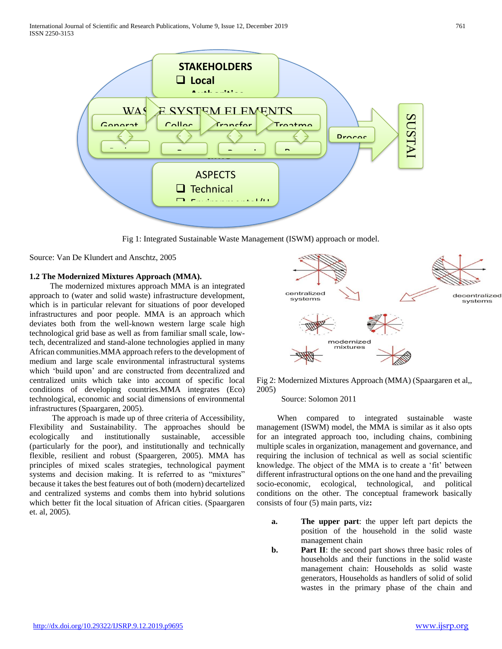

Fig 1: Integrated Sustainable Waste Management (ISWM) approach or model.

Source: Van De Klundert and Anschtz, 2005

## **1.2 The Modernized Mixtures Approach (MMA).**

 The modernized mixtures approach MMA is an integrated approach to (water and solid waste) infrastructure development, which is in particular relevant for situations of poor developed infrastructures and poor people. MMA is an approach which deviates both from the well-known western large scale high technological grid base as well as from familiar small scale, lowtech, decentralized and stand-alone technologies applied in many African communities.MMA approach refers to the development of medium and large scale environmental infrastructural systems which 'build upon' and are constructed from decentralized and centralized units which take into account of specific local conditions of developing countries.MMA integrates (Eco) technological, economic and social dimensions of environmental infrastructures (Spaargaren, 2005).

 The approach is made up of three criteria of Accessibility, Flexibility and Sustainability. The approaches should be ecologically and institutionally sustainable, accessible (particularly for the poor), and institutionally and technically flexible, resilient and robust (Spaargeren, 2005). MMA has principles of mixed scales strategies, technological payment systems and decision making. It is referred to as "mixtures" because it takes the best features out of both (modern) decartelized and centralized systems and combs them into hybrid solutions which better fit the local situation of African cities. (Spaargaren et. al, 2005).



Fig 2: Modernized Mixtures Approach (MMA) (Spaargaren et al,, 2005)

Source: Solomon 2011

 When compared to integrated sustainable waste management (ISWM) model, the MMA is similar as it also opts for an integrated approach too, including chains, combining multiple scales in organization, management and governance, and requiring the inclusion of technical as well as social scientific knowledge. The object of the MMA is to create a 'fit' between different infrastructural options on the one hand and the prevailing socio-economic, ecological, technological, and political conditions on the other. The conceptual framework basically consists of four (5) main parts, viz**:**

- **a. The upper part**: the upper left part depicts the position of the household in the solid waste management chain
- **b. Part II**: the second part shows three basic roles of households and their functions in the solid waste management chain: Households as solid waste generators, Households as handlers of solid of solid wastes in the primary phase of the chain and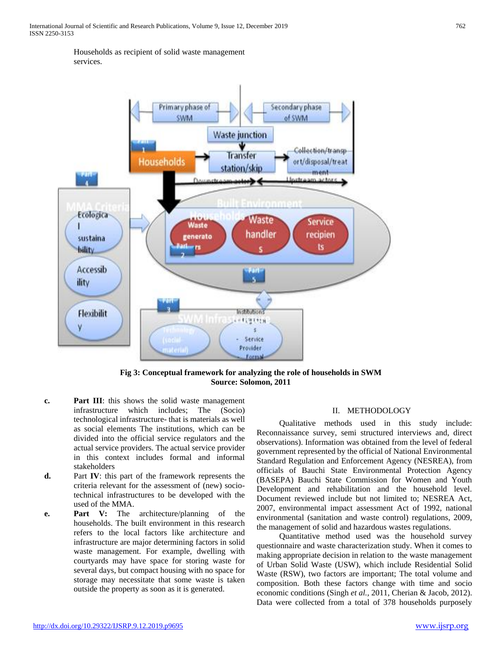Households as recipient of solid waste management services.



**Fig 3: Conceptual framework for analyzing the role of households in SWM Source: Solomon, 2011**

- **c. Part III**: this shows the solid waste management infrastructure which includes; The (Socio) technological infrastructure- that is materials as well as social elements The institutions, which can be divided into the official service regulators and the actual service providers. The actual service provider in this context includes formal and informal stakeholders
- **d.** Part **IV**: this part of the framework represents the criteria relevant for the assessment of (new) sociotechnical infrastructures to be developed with the used of the MMA.
- **e. Part V:** The architecture/planning of the households. The built environment in this research refers to the local factors like architecture and infrastructure are major determining factors in solid waste management. For example, dwelling with courtyards may have space for storing waste for several days, but compact housing with no space for storage may necessitate that some waste is taken outside the property as soon as it is generated.

# II. METHODOLOGY

 Qualitative methods used in this study include: Reconnaissance survey, semi structured interviews and, direct observations). Information was obtained from the level of federal government represented by the official of National Environmental Standard Regulation and Enforcement Agency (NESREA), from officials of Bauchi State Environmental Protection Agency (BASEPA) Bauchi State Commission for Women and Youth Development and rehabilitation and the household level. Document reviewed include but not limited to; NESREA Act, 2007, environmental impact assessment Act of 1992, national environmental (sanitation and waste control) regulations, 2009, the management of solid and hazardous wastes regulations.

 Quantitative method used was the household survey questionnaire and waste characterization study. When it comes to making appropriate decision in relation to the waste management of Urban Solid Waste (USW), which include Residential Solid Waste (RSW), two factors are important; The total volume and composition. Both these factors change with time and socio economic conditions (Singh *et al.,* 2011, Cherian & Jacob, 2012). Data were collected from a total of 378 households purposely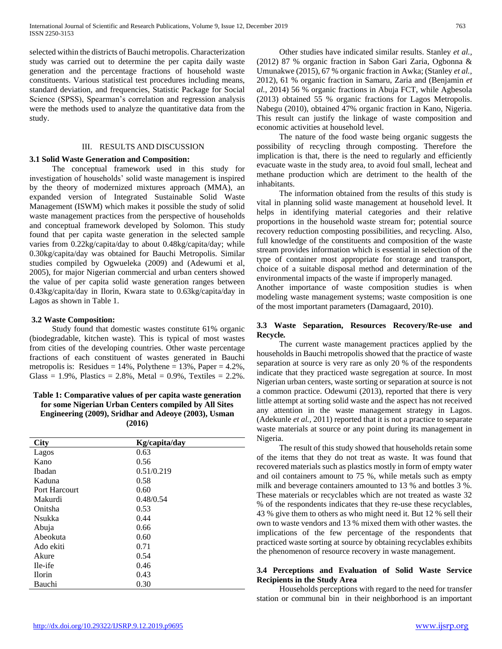selected within the districts of Bauchi metropolis. Characterization study was carried out to determine the per capita daily waste generation and the percentage fractions of household waste constituents. Various statistical test procedures including means, standard deviation, and frequencies, Statistic Package for Social Science (SPSS), Spearman's correlation and regression analysis were the methods used to analyze the quantitative data from the study.

#### III. RESULTS AND DISCUSSION

#### **3.1 Solid Waste Generation and Composition:**

 The conceptual framework used in this study for investigation of households' solid waste management is inspired by the theory of modernized mixtures approach (MMA), an expanded version of Integrated Sustainable Solid Waste Management (ISWM) which makes it possible the study of solid waste management practices from the perspective of households and conceptual framework developed by Solomon. This study found that per capita waste generation in the selected sample varies from 0.22kg/capita/day to about 0.48kg/capita/day; while 0.30kg/capita/day was obtained for Bauchi Metropolis. Similar studies compiled by Ogwueleka (2009) and (Adewumi et al, 2005), for major Nigerian commercial and urban centers showed the value of per capita solid waste generation ranges between 0.43kg/capita/day in Ilorin, Kwara state to 0.63kg/capita/day in Lagos as shown in Table 1.

#### **3.2 Waste Composition:**

 Study found that domestic wastes constitute 61% organic (biodegradable, kitchen waste). This is typical of most wastes from cities of the developing countries. Other waste percentage fractions of each constituent of wastes generated in Bauchi metropolis is: Residues =  $14\%$ , Polythene =  $13\%$ , Paper =  $4.2\%$ , Glass =  $1.9\%$ , Plastics =  $2.8\%$ , Metal =  $0.9\%$ , Textiles =  $2.2\%$ .

# **Table 1: Comparative values of per capita waste generation for some Nigerian Urban Centers compiled by All Sites Engineering (2009), Sridhar and Adeoye (2003), Usman (2016)**

| <b>City</b>   | Kg/capita/day |  |
|---------------|---------------|--|
| Lagos         | 0.63          |  |
| Kano          | 0.56          |  |
| <b>Ibadan</b> | 0.51/0.219    |  |
| Kaduna        | 0.58          |  |
| Port Harcourt | 0.60          |  |
| Makurdi       | 0.48/0.54     |  |
| Onitsha       | 0.53          |  |
| Nsukka        | 0.44          |  |
| Abuja         | 0.66          |  |
| Abeokuta      | 0.60          |  |
| Ado ekiti     | 0.71          |  |
| Akure         | 0.54          |  |
| Ile-ife       | 0.46          |  |
| <b>Ilorin</b> | 0.43          |  |
| Bauchi        | 0.30          |  |

 Other studies have indicated similar results. Stanley *et al.,* (2012) 87 % organic fraction in Sabon Gari Zaria, Ogbonna & Umunakwe (2015), 67 % organic fraction in Awka; (Stanley *et al.,* 2012), 61 % organic fraction in Samaru, Zaria and (Benjamin *et al.,* 2014) 56 % organic fractions in Abuja FCT, while Agbesola (2013) obtained 55 % organic fractions for Lagos Metropolis. Nabegu (2010), obtained 47% organic fraction in Kano, Nigeria. This result can justify the linkage of waste composition and economic activities at household level.

 The nature of the food waste being organic suggests the possibility of recycling through composting. Therefore the implication is that, there is the need to regularly and efficiently evacuate waste in the study area, to avoid foul small, lecheat and methane production which are detriment to the health of the inhabitants.

 The information obtained from the results of this study is vital in planning solid waste management at household level. It helps in identifying material categories and their relative proportions in the household waste stream for; potential source recovery reduction composting possibilities, and recycling. Also, full knowledge of the constituents and composition of the waste stream provides information which is essential in selection of the type of container most appropriate for storage and transport, choice of a suitable disposal method and determination of the environmental impacts of the waste if improperly managed.

Another importance of waste composition studies is when modeling waste management systems; waste composition is one of the most important parameters (Damagaard, 2010).

#### **3.3 Waste Separation, Resources Recovery/Re-use and Recycle***.*

 The current waste management practices applied by the households in Bauchi metropolis showed that the practice of waste separation at source is very rare as only 20 % of the respondents indicate that they practiced waste segregation at source. In most Nigerian urban centers, waste sorting or separation at source is not a common practice. Odewumi (2013), reported that there is very little attempt at sorting solid waste and the aspect has not received any attention in the waste management strategy in Lagos. (Adekunle *et al.,* 2011) reported that it is not a practice to separate waste materials at source or any point during its management in Nigeria.

 The result of this study showed that households retain some of the items that they do not treat as waste. It was found that recovered materials such as plastics mostly in form of empty water and oil containers amount to 75 %, while metals such as empty milk and beverage containers amounted to 13 % and bottles 3 %. These materials or recyclables which are not treated as waste 32 % of the respondents indicates that they re-use these recyclables, 43 % give them to others as who might need it. But 12 % sell their own to waste vendors and 13 % mixed them with other wastes. the implications of the few percentage of the respondents that practiced waste sorting at source by obtaining recyclables exhibits the phenomenon of resource recovery in waste management.

#### **3.4 Perceptions and Evaluation of Solid Waste Service Recipients in the Study Area**

 Households perceptions with regard to the need for transfer station or communal bin in their neighborhood is an important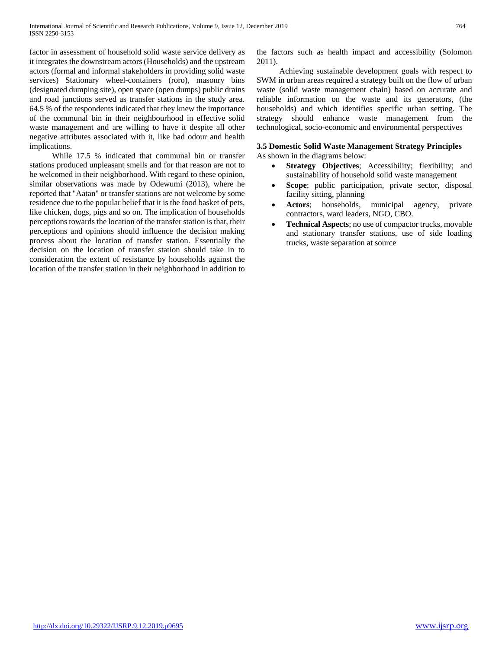factor in assessment of household solid waste service delivery as it integrates the downstream actors (Households) and the upstream actors (formal and informal stakeholders in providing solid waste services) Stationary wheel-containers (roro), masonry bins (designated dumping site), open space (open dumps) public drains and road junctions served as transfer stations in the study area. 64.5 % of the respondents indicated that they knew the importance of the communal bin in their neighbourhood in effective solid waste management and are willing to have it despite all other negative attributes associated with it, like bad odour and health implications.

 While 17.5 % indicated that communal bin or transfer stations produced unpleasant smells and for that reason are not to be welcomed in their neighborhood. With regard to these opinion, similar observations was made by Odewumi (2013), where he reported that "Aatan" or transfer stations are not welcome by some residence due to the popular belief that it is the food basket of pets, like chicken, dogs, pigs and so on. The implication of households perceptions towards the location of the transfer station is that, their perceptions and opinions should influence the decision making process about the location of transfer station. Essentially the decision on the location of transfer station should take in to consideration the extent of resistance by households against the location of the transfer station in their neighborhood in addition to the factors such as health impact and accessibility (Solomon 2011).

 Achieving sustainable development goals with respect to SWM in urban areas required a strategy built on the flow of urban waste (solid waste management chain) based on accurate and reliable information on the waste and its generators, (the households) and which identifies specific urban setting. The strategy should enhance waste management from the technological, socio-economic and environmental perspectives

# **3.5 Domestic Solid Waste Management Strategy Principles**

As shown in the diagrams below:

- **Strategy Objectives**; Accessibility; flexibility; and sustainability of household solid waste management
- **Scope**; public participation, private sector, disposal facility sitting, planning
- Actors; households, municipal agency, private contractors, ward leaders, NGO, CBO.
- **Technical Aspects**; no use of compactor trucks, movable and stationary transfer stations, use of side loading trucks, waste separation at source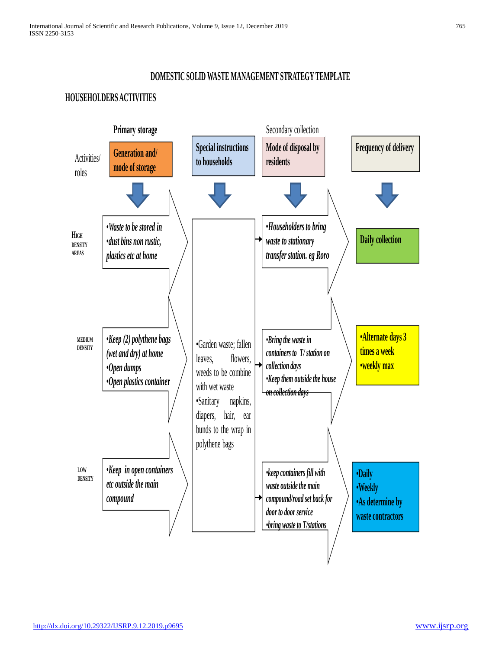# **DOMESTIC SOLID WASTE MANAGEMENT STRATEGY TEMPLATE**

# **HOUSEHOLDERS ACTIVITIES**

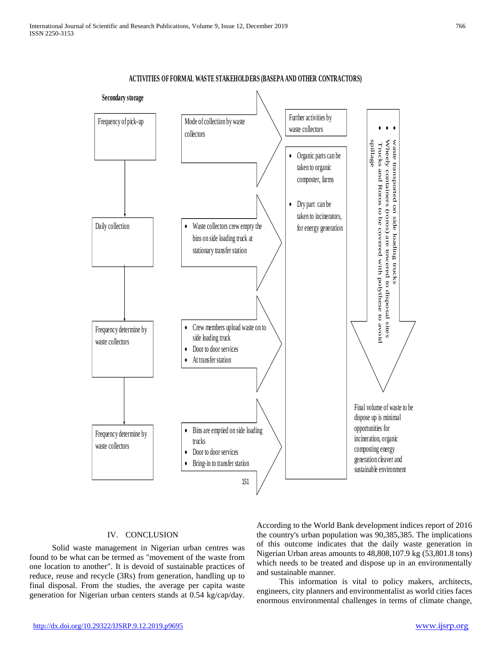

**ACTIVITIES OF FORMAL WASTE STAKEHOLDERS (BASEPA AND OTHER CONTRACTORS)**

#### IV. CONCLUSION

 Solid waste management in Nigerian urban centres was found to be what can be termed as "movement of the waste from one location to another". It is devoid of sustainable practices of reduce, reuse and recycle (3Rs) from generation, handling up to final disposal. From the studies, the average per capita waste generation for Nigerian urban centers stands at 0.54 kg/cap/day.

According to the World Bank development indices report of 2016 the country's urban population was 90,385,385. The implications of this outcome indicates that the daily waste generation in Nigerian Urban areas amounts to 48,808,107.9 kg (53,801.8 tons) which needs to be treated and dispose up in an environmentally and sustainable manner.

 This information is vital to policy makers, architects, engineers, city planners and environmentalist as world cities faces enormous environmental challenges in terms of climate change,